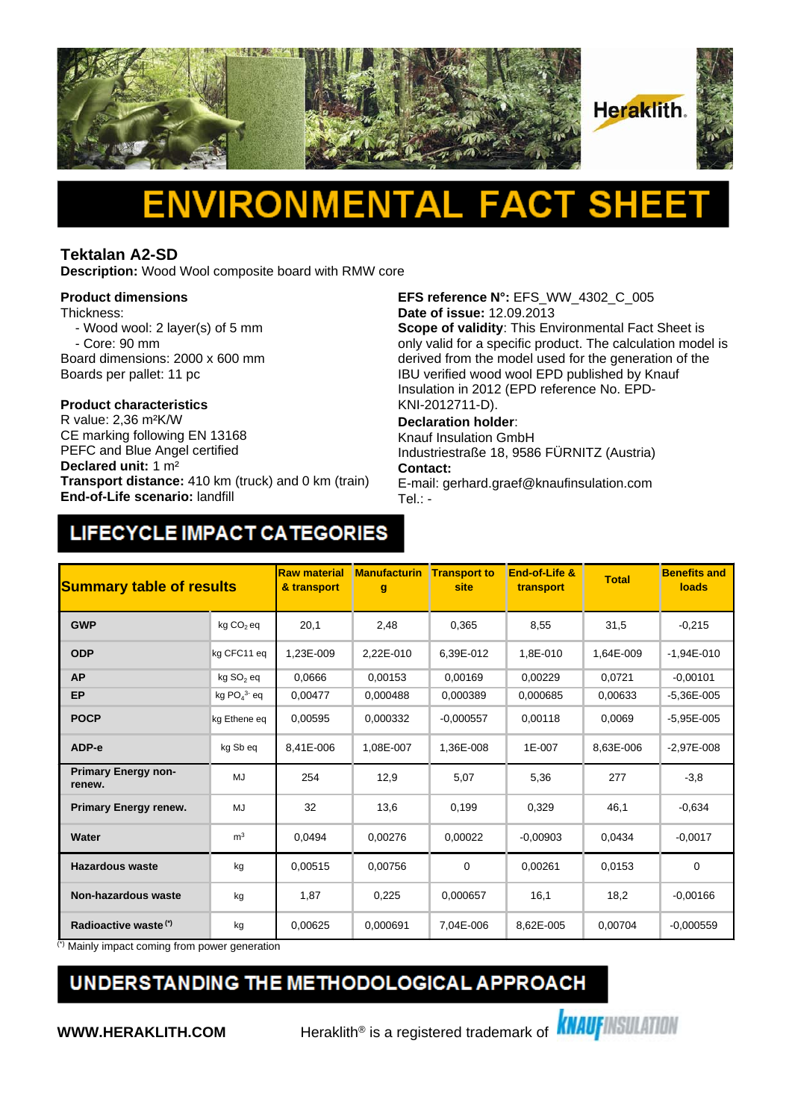

# Δ

#### **Tektalan A2-SD**

**Description:** Wood Wool composite board with RMW core

#### **Product dimensions**

Thickness:

- Wood wool: 2 layer(s) of 5 mm - Core: 90 mm
- Board dimensions: 2000 x 600 mm
- Boards per pallet: 11 pc

# **Product characteristics**

CE marking following EN 13168 PEFC and Blue Angel certified **Declared unit:** 1 m² **Transport distance:** 410 km (truck) and 0 km (train) **End-of-Life scenario:** landfill

**EFS reference N°:** EFS\_WW\_4302\_C\_005 **Date of issue:** 12.09.2013

**Scope of validity**: This Environmental Fact Sheet is only valid for a specific product. The calculation model is derived from the model used for the generation of the IBU verified wood wool EPD published by Knauf Insulation in 2012 (EPD reference No. EPD-KNI-2012711-D).

#### **Declaration holder**:

Knauf Insulation GmbH Industriestraße 18, 9586 FÜRNITZ (Austria) **Contact:** 

E-mail: gerhard.graef@knaufinsulation.com Tel.: -

## LIFECYCLE IMPACT CATEGORIES

| <b>Summary table of results</b>      |                       | <b>Raw material</b><br>& transport | <b>Manufacturin</b><br>$\mathbf{g}$ | <b>Transport to</b><br>site | End-of-Life &<br>transport | <b>Total</b> | <b>Benefits and</b><br>loads |
|--------------------------------------|-----------------------|------------------------------------|-------------------------------------|-----------------------------|----------------------------|--------------|------------------------------|
| <b>GWP</b>                           | kg CO <sub>2</sub> eq | 20,1                               | 2,48                                | 0,365                       | 8,55                       | 31,5         | $-0,215$                     |
| <b>ODP</b>                           | kg CFC11 eq           | 1.23E-009                          | 2.22E-010                           | 6.39E-012                   | 1,8E-010                   | 1.64E-009    | $-1.94E - 010$               |
| <b>AP</b>                            | kg SO <sub>2</sub> eq | 0.0666                             | 0,00153                             | 0.00169                     | 0,00229                    | 0,0721       | $-0,00101$                   |
| <b>EP</b>                            | kg $PO43$ eq          | 0.00477                            | 0.000488                            | 0.000389                    | 0.000685                   | 0,00633      | $-5.36E - 005$               |
| <b>POCP</b>                          | kg Ethene eq          | 0,00595                            | 0,000332                            | $-0,000557$                 | 0,00118                    | 0,0069       | $-5,95E-005$                 |
| ADP-e                                | kg Sb eq              | 8,41E-006                          | 1,08E-007                           | 1,36E-008                   | 1E-007                     | 8,63E-006    | $-2,97E-008$                 |
| <b>Primary Energy non-</b><br>renew. | MJ                    | 254                                | 12,9                                | 5,07                        | 5,36                       | 277          | $-3,8$                       |
| <b>Primary Energy renew.</b>         | MJ                    | 32                                 | 13,6                                | 0,199                       | 0,329                      | 46,1         | $-0,634$                     |
| Water                                | m <sup>3</sup>        | 0,0494                             | 0,00276                             | 0,00022                     | $-0.00903$                 | 0,0434       | $-0.0017$                    |
| <b>Hazardous waste</b>               | kg                    | 0,00515                            | 0,00756                             | $\mathbf 0$                 | 0,00261                    | 0,0153       | $\mathbf 0$                  |
| <b>Non-hazardous waste</b>           | kg                    | 1,87                               | 0,225                               | 0,000657                    | 16,1                       | 18,2         | $-0.00166$                   |
| Radioactive waste <sup>(*)</sup>     | kg                    | 0,00625                            | 0,000691                            | 7,04E-006                   | 8,62E-005                  | 0,00704      | $-0.000559$                  |

(\*) Mainly impact coming from power generation

### UNDERSTANDING THE METHODOLOGICAL APPROACH

**WWW.HERAKLITH.COM** Heraklith<sup>®</sup> is a registered trademark of **KNAUFINSULATION**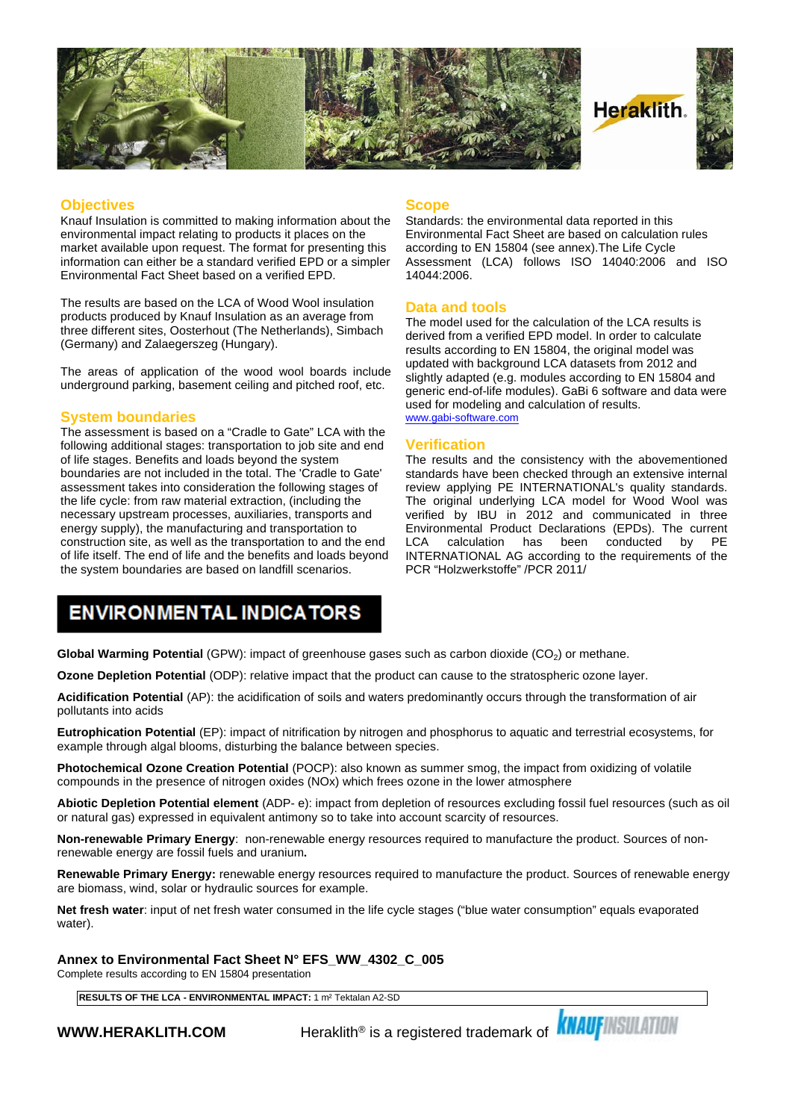

#### **Objectives**

Knauf Insulation is committed to making information about the environmental impact relating to products it places on the market available upon request. The format for presenting this information can either be a standard verified EPD or a simpler Environmental Fact Sheet based on a verified EPD.

The results are based on the LCA of Wood Wool insulation products produced by Knauf Insulation as an average from three different sites, Oosterhout (The Netherlands), Simbach (Germany) and Zalaegerszeg (Hungary).

The areas of application of the wood wool boards include underground parking, basement ceiling and pitched roof, etc.

#### **System boundaries**

The assessment is based on a "Cradle to Gate" LCA with the following additional stages: transportation to job site and end of life stages. Benefits and loads beyond the system boundaries are not included in the total. The 'Cradle to Gate' assessment takes into consideration the following stages of the life cycle: from raw material extraction, (including the necessary upstream processes, auxiliaries, transports and energy supply), the manufacturing and transportation to construction site, as well as the transportation to and the end LCA of life itself. The end of life and the benefits and loads beyond the system boundaries are based on landfill scenarios.

#### **Scope**

Standards: the environmental data reported in this Environmental Fact Sheet are based on calculation rules according to EN 15804 (see annex).The Life Cycle Assessment (LCA) follows ISO 14040:2006 and ISO 14044:2006.

#### **Data and tools**

The model used for the calculation of the LCA results is derived from a verified EPD model. In order to calculate results according to EN 15804, the original model was updated with background LCA datasets from 2012 and slightly adapted (e.g. modules according to EN 15804 and generic end-of-life modules). GaBi 6 software and data were used for modeling and calculation of results. [www.gabi-software.com](http://www.gabi-software.com)

#### **Verification**

The results and the consistency with the abovementioned standards have been checked through an extensive internal review applying PE INTERNATIONAL's quality standards. The original underlying LCA model for Wood Wool was verified by IBU in 2012 and communicated in three Environmental Product Declarations (EPDs). The current calculation has been conducted INTERNATIONAL AG according to the requirements of the PCR "Holzwerkstoffe" /PCR 2011/

### **ENVIRONMENTAL INDICATORS**

**Global Warming Potential** (GPW): impact of greenhouse gases such as carbon dioxide (CO<sub>2</sub>) or methane.

**Ozone Depletion Potential** (ODP): relative impact that the product can cause to the stratospheric ozone layer.

**Acidification Potential** (AP): the acidification of soils and waters predominantly occurs through the transformation of air pollutants into acids

**Eutrophication Potential** (EP): impact of nitrification by nitrogen and phosphorus to aquatic and terrestrial ecosystems, for example through algal blooms, disturbing the balance between species.

**Photochemical Ozone Creation Potential** (POCP): also known as summer smog, the impact from oxidizing of volatile compounds in the presence of nitrogen oxides (NOx) which frees ozone in the lower atmosphere

**Abiotic Depletion Potential element** (ADP- e): impact from depletion of resources excluding fossil fuel resources (such as oil or natural gas) expressed in equivalent antimony so to take into account scarcity of resources.

**Non-renewable Primary Energy**: non-renewable energy resources required to manufacture the product. Sources of nonrenewable energy are fossil fuels and uranium**.**

**Renewable Primary Energy:** renewable energy resources required to manufacture the product. Sources of renewable energy are biomass, wind, solar or hydraulic sources for example.

**Net fresh water**: input of net fresh water consumed in the life cycle stages ("blue water consumption" equals evaporated water).

**Annex to Environmental Fact Sheet N° EFS\_WW\_4302\_C\_005**

Complete results according to EN 15804 presentation

**RESULTS OF THE LCA - ENVIRONMENTAL IMPACT:** 1 m² Tektalan A2-SD

**WWW.HERAKLITH.COM** Peraklith® is a registered trademark of **KNAUFINSULATION**